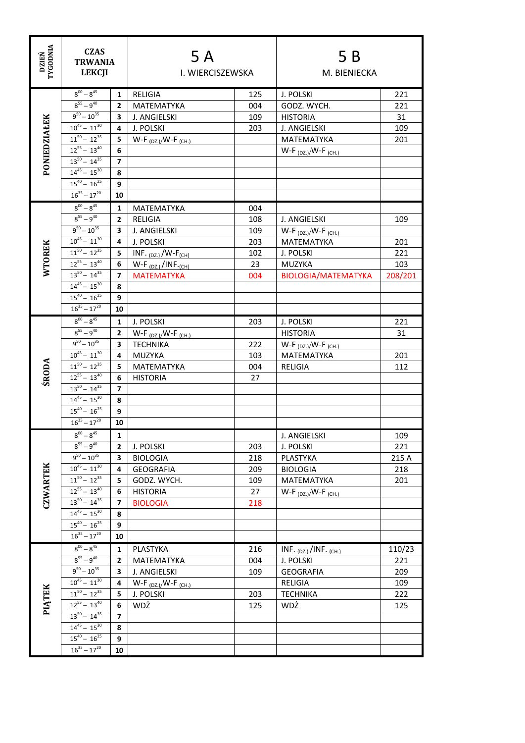| <b>TYGODNIA</b><br><b>DZIEŃ</b> | <b>CZAS</b><br><b>TRWANIA</b><br><b>LEKCJI</b>        |                     | 5 A<br>I. WIERCISZEWSKA          |     | 5 B<br>M. BIENIECKA                |            |
|---------------------------------|-------------------------------------------------------|---------------------|----------------------------------|-----|------------------------------------|------------|
|                                 |                                                       |                     |                                  |     |                                    |            |
|                                 | $8^{00} - 8^{45}$                                     | $\mathbf{1}$        | <b>RELIGIA</b>                   | 125 | J. POLSKI                          | 221        |
| PONIEDZIAŁEK                    | $8^{55} - 9^{40}$                                     | $\mathbf{2}$        | MATEMATYKA                       | 004 | GODZ. WYCH.                        | 221        |
|                                 | $9^{50} - 10^{35}$                                    | 3                   | J. ANGIELSKI                     | 109 | <b>HISTORIA</b>                    | 31         |
|                                 | $10^{45} - 11^{30}$                                   | 4                   | J. POLSKI                        | 203 | J. ANGIELSKI                       | 109        |
|                                 | $11^{50} - 12^{35}$                                   | 5.                  | $W-F_{(DZ.)}/W-F_{(CH.)}$        |     | <b>MATEMATYKA</b>                  | 201        |
|                                 | $12^{55} - 13^{40}$                                   | 6                   |                                  |     | $W-F_{(DZ.)}/W-F_{(CH.)}$          |            |
|                                 | $13^{50} - 14^{35}$                                   | $\overline{ }$      |                                  |     |                                    |            |
|                                 | $14^{45} - 15^{30}$                                   | 8                   |                                  |     |                                    |            |
|                                 | $15^{40} - 16^{25}$                                   | 9                   |                                  |     |                                    |            |
|                                 | $16^{35} - 17^{20}$                                   | 10                  |                                  |     |                                    |            |
|                                 | $8^{00} - 8^{45}$                                     | 1                   | <b>MATEMATYKA</b>                | 004 |                                    |            |
|                                 | $8^{55} - 9^{40}$                                     | $\mathbf{2}$        | <b>RELIGIA</b>                   | 108 | J. ANGIELSKI                       | 109        |
|                                 | $9^{50} - 10^{35}$                                    | 3                   | J. ANGIELSKI                     | 109 | W-F $_{(DZ.)}/W$ -F $_{(CH.)}$     |            |
|                                 | $10^{45} - 11^{30}$                                   | 4                   | J. POLSKI                        | 203 | <b>MATEMATYKA</b>                  | 201        |
| <b>WTOREK</b>                   | $11^{50} - 12^{35}$                                   | 5                   | INF. $(DZ)$ /W-F <sub>(CH)</sub> | 102 | J. POLSKI                          | 221        |
|                                 | $12^{55} - 13^{40}$                                   | 6                   | $W-F_{(DZ)}/INF_{(CH)}$          | 23  | MUZYKA                             | 103        |
|                                 | $13^{50} - 14^{35}$                                   | 7                   | <b>MATEMATYKA</b>                | 004 | <b>BIOLOGIA/MATEMATYKA</b>         | 208/201    |
|                                 | $14^{45} - 15^{30}$                                   | 8                   |                                  |     |                                    |            |
|                                 | $15^{40} - 16^{25}$<br>$16^{35} - 17^{20}$            | 9                   |                                  |     |                                    |            |
|                                 |                                                       | 10                  |                                  |     |                                    |            |
|                                 | $8^{00} - 8^{45}$                                     | 1                   | J. POLSKI                        | 203 | J. POLSKI                          | 221        |
|                                 | $8^{55} - 9^{40}$                                     | $\mathbf{2}$        | $W-F_{(DZ.)}/W-F_{(CH.)}$        |     | <b>HISTORIA</b>                    | 31         |
|                                 | $9^{50} - 10^{35}$                                    | 3                   | <b>TECHNIKA</b>                  | 222 | W-F $_{(DZ.)}/W$ -F $_{(CH.)}$     |            |
|                                 | $10^{45} - 11^{30}$<br>$\overline{11}^{50} - 12^{35}$ | 4                   | <b>MUZYKA</b>                    | 103 | MATEMATYKA                         | 201        |
| <b>ŚRODA</b>                    | $12^{55} - 13^{40}$                                   | 5.                  | MATEMATYKA                       | 004 | RELIGIA                            | 112        |
|                                 | $13^{50} - 14^{35}$                                   | 6<br>$\overline{7}$ | <b>HISTORIA</b>                  | 27  |                                    |            |
|                                 | $14^{45} - 15^{30}$                                   | 8                   |                                  |     |                                    |            |
|                                 | $15^{40} - 16^{25}$                                   | 9                   |                                  |     |                                    |            |
|                                 | $16^{35} - 17^{20}$                                   | 10                  |                                  |     |                                    |            |
|                                 | $8^{00} - 8^{45}$                                     | 1                   |                                  |     | J. ANGIELSKI                       |            |
|                                 | $8^{55} - 9^{40}$                                     | $\overline{2}$      | J. POLSKI                        | 203 | J. POLSKI                          | 109<br>221 |
|                                 | $9^{50} - 10^{35}$                                    | 3                   | <b>BIOLOGIA</b>                  | 218 | PLASTYKA                           | 215 A      |
|                                 | $10^{45} - 11^{30}$                                   | 4                   | <b>GEOGRAFIA</b>                 | 209 | <b>BIOLOGIA</b>                    | 218        |
|                                 | $11^{50} - 12^{35}$                                   | 5                   | GODZ. WYCH.                      | 109 | MATEMATYKA                         | 201        |
|                                 | $12^{55} - 13^{40}$                                   | 6                   | <b>HISTORIA</b>                  | 27  | $W-F_{(DZ.)}/W-F_{(CH.)}$          |            |
| <b>CZWARTEK</b>                 | $13^{50} - 14^{35}$                                   | 7                   | <b>BIOLOGIA</b>                  | 218 |                                    |            |
|                                 | $14^{45} - 15^{30}$                                   | 8                   |                                  |     |                                    |            |
|                                 | $15^{40} - 16^{25}$                                   | 9                   |                                  |     |                                    |            |
|                                 | $16^{35} - 17^{20}$                                   | 10                  |                                  |     |                                    |            |
|                                 | $8^{00} - 8^{45}$                                     | 1                   | PLASTYKA                         | 216 | INF. $_{(DZ_i)}$ /INF. $_{(CH_i)}$ | 110/23     |
|                                 | $8^{55} - 9^{40}$                                     | $\mathbf{z}$        | MATEMATYKA                       | 004 | J. POLSKI                          | 221        |
|                                 | $9^{50} - 10^{35}$                                    | 3                   | J. ANGIELSKI                     | 109 | <b>GEOGRAFIA</b>                   | 209        |
|                                 | $10^{45} - 11^{30}$                                   | 4                   | $W-F_{(DZ.)}/W-F_{(CH.)}$        |     | RELIGIA                            | 109        |
| <b>PIATEK</b>                   | $11^{50} - 12^{35}$                                   | 5                   | J. POLSKI                        | 203 | <b>TECHNIKA</b>                    | 222        |
|                                 | $12^{55} - 13^{40}$                                   | 6                   | WDŻ                              | 125 | WDŻ                                | 125        |
|                                 | $13^{50} - 14^{35}$                                   | 7                   |                                  |     |                                    |            |
|                                 | $14^{45} - 15^{30}$                                   | 8                   |                                  |     |                                    |            |
|                                 | $15^{40} - 16^{25}$                                   | 9                   |                                  |     |                                    |            |
|                                 | $16^{35} - 17^{20}$                                   | 10                  |                                  |     |                                    |            |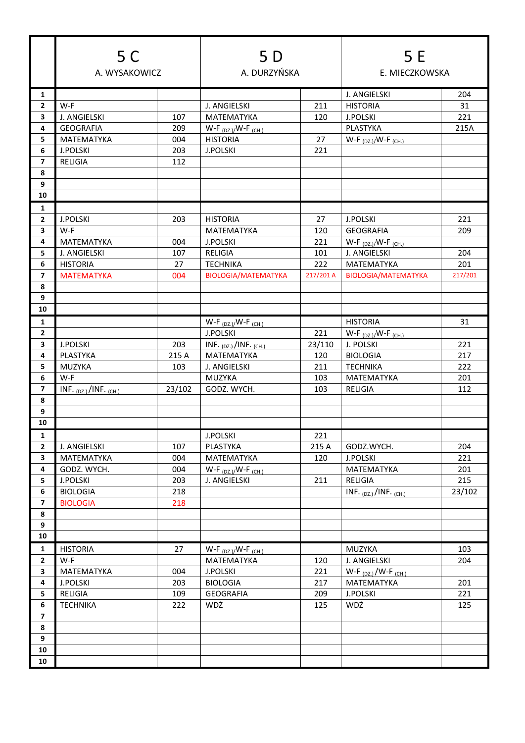|                         | 5 C                              |            | 5 D                                |            | 5 E                                     |         |
|-------------------------|----------------------------------|------------|------------------------------------|------------|-----------------------------------------|---------|
|                         | A. WYSAKOWICZ                    |            | A. DURZYŃSKA                       |            | E. MIECZKOWSKA                          |         |
| 1                       |                                  |            |                                    |            | J. ANGIELSKI                            | 204     |
| $\overline{2}$          | W-F                              |            | J. ANGIELSKI                       | 211        | <b>HISTORIA</b>                         | 31      |
| 3                       | J. ANGIELSKI                     | 107        | MATEMATYKA                         | 120        | <b>J.POLSKI</b>                         | 221     |
| 4                       | <b>GEOGRAFIA</b>                 | 209        | $W-F_{(DZ.)}/W-F_{(CH.)}$          |            | <b>PLASTYKA</b>                         | 215A    |
| 5                       | MATEMATYKA                       | 004        | <b>HISTORIA</b>                    | 27         | $W-F_{(DZ.)}/W-F_{(CH.)}$               |         |
| 6                       | <b>J.POLSKI</b>                  | 203        | <b>J.POLSKI</b>                    | 221        |                                         |         |
| $\overline{7}$          | RELIGIA                          | 112        |                                    |            |                                         |         |
| 8                       |                                  |            |                                    |            |                                         |         |
| 9                       |                                  |            |                                    |            |                                         |         |
| 10                      |                                  |            |                                    |            |                                         |         |
| 1                       |                                  |            |                                    |            |                                         |         |
| $\mathbf{2}$            | <b>J.POLSKI</b>                  | 203        | <b>HISTORIA</b>                    | 27         | <b>J.POLSKI</b>                         | 221     |
| 3                       | W-F                              |            | MATEMATYKA                         | 120        | <b>GEOGRAFIA</b>                        | 209     |
| 4                       | MATEMATYKA                       | 004        | <b>J.POLSKI</b>                    | 221        | $W-F_{(DZ.)}/W-F_{(CH.)}$               |         |
| 5                       | J. ANGIELSKI                     | 107        | <b>RELIGIA</b>                     | 101        | J. ANGIELSKI                            | 204     |
| 6                       | <b>HISTORIA</b>                  | 27         | <b>TECHNIKA</b>                    | 222        | MATEMATYKA                              | 201     |
| $\overline{7}$          | <b>MATEMATYKA</b>                | 004        | <b>BIOLOGIA/MATEMATYKA</b>         | 217/201 A  | <b>BIOLOGIA/MATEMATYKA</b>              | 217/201 |
| 8                       |                                  |            |                                    |            |                                         |         |
| 9                       |                                  |            |                                    |            |                                         |         |
| 10                      |                                  |            |                                    |            |                                         |         |
| 1                       |                                  |            | $W-F_{(DZ.)}/W-F_{(CH.)}$          |            | <b>HISTORIA</b>                         | 31      |
| $\mathbf{2}$            |                                  |            | <b>J.POLSKI</b>                    | 221        | $W-F_{(DZ.)}/W-F_{(CH.)}$               |         |
| 3                       | <b>J.POLSKI</b>                  | 203        | INF. $_{(DZ.)}$ /INF. $_{(CH.)}$   | 23/110     | J. POLSKI                               | 221     |
| 4                       | PLASTYKA                         | 215 A      | MATEMATYKA                         | 120        | <b>BIOLOGIA</b>                         | 217     |
| 5                       | MUZYKA                           | 103        | J. ANGIELSKI                       | 211        | <b>TECHNIKA</b>                         | 222     |
| 6                       | W-F                              |            | MUZYKA                             | 103        | MATEMATYKA                              | 201     |
| $\overline{\mathbf{z}}$ | INF. $_{(DZ.)}$ /INF. $_{(CH.)}$ | 23/102     | GODZ. WYCH.                        | 103        | <b>RELIGIA</b>                          | 112     |
| 8                       |                                  |            |                                    |            |                                         |         |
| 9                       |                                  |            |                                    |            |                                         |         |
| 10                      |                                  |            |                                    |            |                                         |         |
| $\mathbf{1}$            |                                  |            | <b>J.POLSKI</b>                    | 221        |                                         |         |
| $\mathbf{2}$            | J. ANGIELSKI                     | 107        | PLASTYKA                           | 215 A      | GODZ.WYCH.                              | 204     |
| $\mathbf{3}$            | MATEMATYKA                       | 004        | MATEMATYKA                         | 120        | <b>J.POLSKI</b>                         | 221     |
| 4                       | GODZ. WYCH.                      | 004        | $W-F_{(DZ.)}/W-F_{(CH.)}$          |            | MATEMATYKA                              | 201     |
| 5                       | J.POLSKI                         | 203        | J. ANGIELSKI                       | 211        | RELIGIA                                 | 215     |
| 6                       | <b>BIOLOGIA</b>                  | 218        |                                    |            | INF. $_{(DZ.)}$ /INF. $_{(CH.)}$        | 23/102  |
| $\overline{\mathbf{z}}$ | <b>BIOLOGIA</b>                  | 218        |                                    |            |                                         |         |
| 8                       |                                  |            |                                    |            |                                         |         |
| 9<br>10                 |                                  |            |                                    |            |                                         |         |
|                         |                                  |            |                                    |            |                                         |         |
| $\mathbf{1}$            | <b>HISTORIA</b>                  | 27         | $W-F_{(DZ.)}/W-F_{(CH.)}$          |            | MUZYKA                                  | 103     |
| $\mathbf{2}$            | W-F                              |            | MATEMATYKA                         | 120        | J. ANGIELSKI                            | 204     |
| $\mathbf{3}$<br>4       | MATEMATYKA<br>J.POLSKI           | 004<br>203 | <b>J.POLSKI</b><br><b>BIOLOGIA</b> | 221<br>217 | $W-F_{(DZ.)}/W-F_{(CH.)}$<br>MATEMATYKA | 201     |
| 5                       | RELIGIA                          | 109        | <b>GEOGRAFIA</b>                   | 209        | <b>J.POLSKI</b>                         | 221     |
| $\bf 6$                 | <b>TECHNIKA</b>                  | 222        | WDŻ                                | 125        | WDŻ                                     | 125     |
| $\overline{\mathbf{z}}$ |                                  |            |                                    |            |                                         |         |
| 8                       |                                  |            |                                    |            |                                         |         |
| 9                       |                                  |            |                                    |            |                                         |         |
| ${\bf 10}$              |                                  |            |                                    |            |                                         |         |
| 10                      |                                  |            |                                    |            |                                         |         |
|                         |                                  |            |                                    |            |                                         |         |